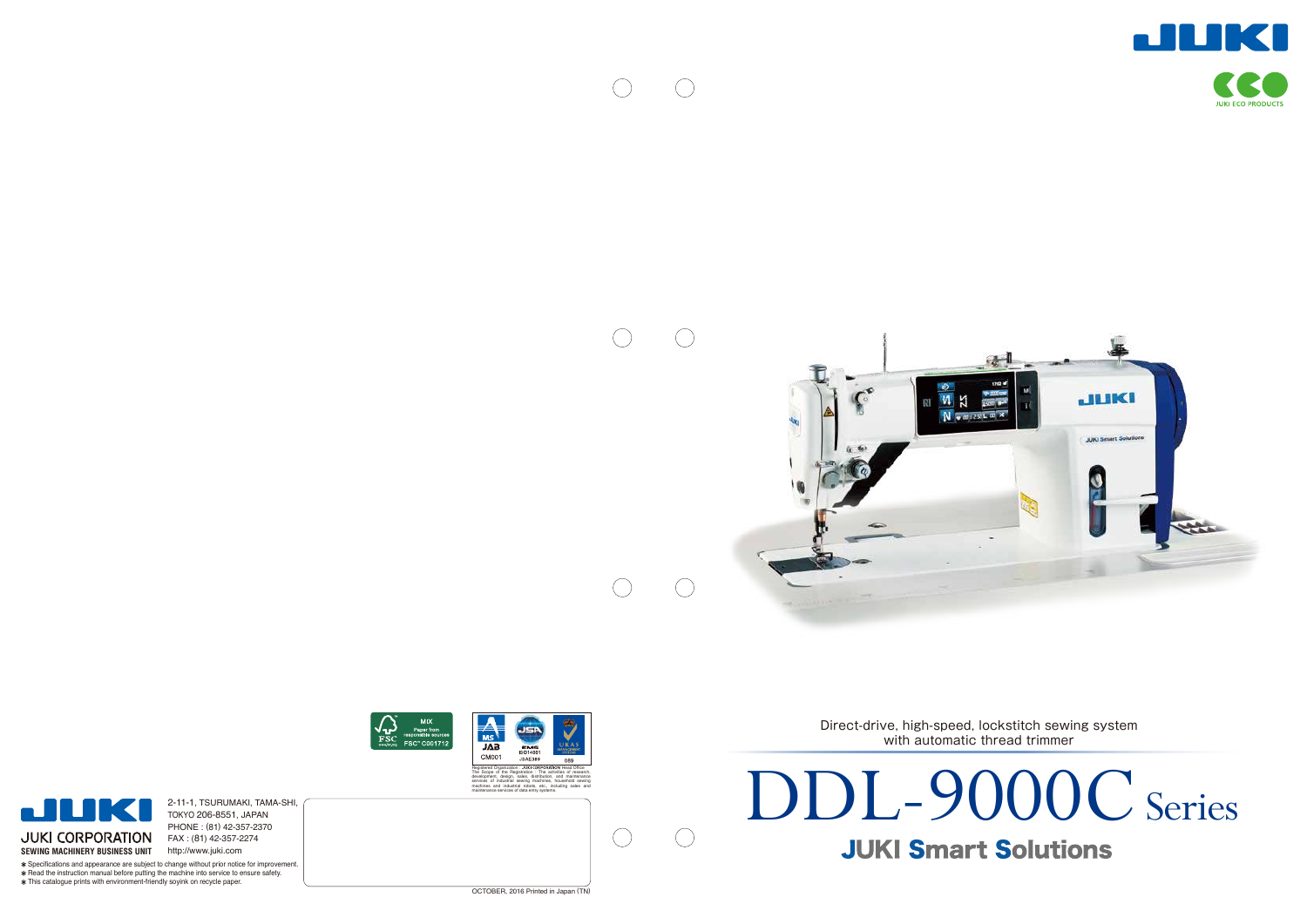





Direct-drive, high-speed, lockstitch sewing system with automatic thread trimmer

OCTOBER, 2016 Printed in Japan (TN )

# Series



**JUKI ECO PRODUCTS** 

**SEWING MACHINERY BUSINESS UNIT** http://www.juki.com 2-11-1, TSURUMAKI, TAMA-SHI, TOKYO 206-8551, JAPAN PHONE : ( 8 1 ) 42-357-2370 FAX : ( 8 1 ) 42-357-2274

Specifications and appearance are subject to change without prior notice for improvement.  $*$  Read the instruction manual before putting the machine into service to ensure safety. This catalogue prints with environment-friendly soyink on recycle paper.





The Scope of the Registration : The activities of research, development, design, sales, distribution, and maintenance services of industrial sewing machines, household sewing machines and industrial robots, etc., including sales and maintenance services of data entry systems.





 $\bigcirc$ 

 $\bigcirc$ 

 $\bigcirc$ 

 $\bigcirc$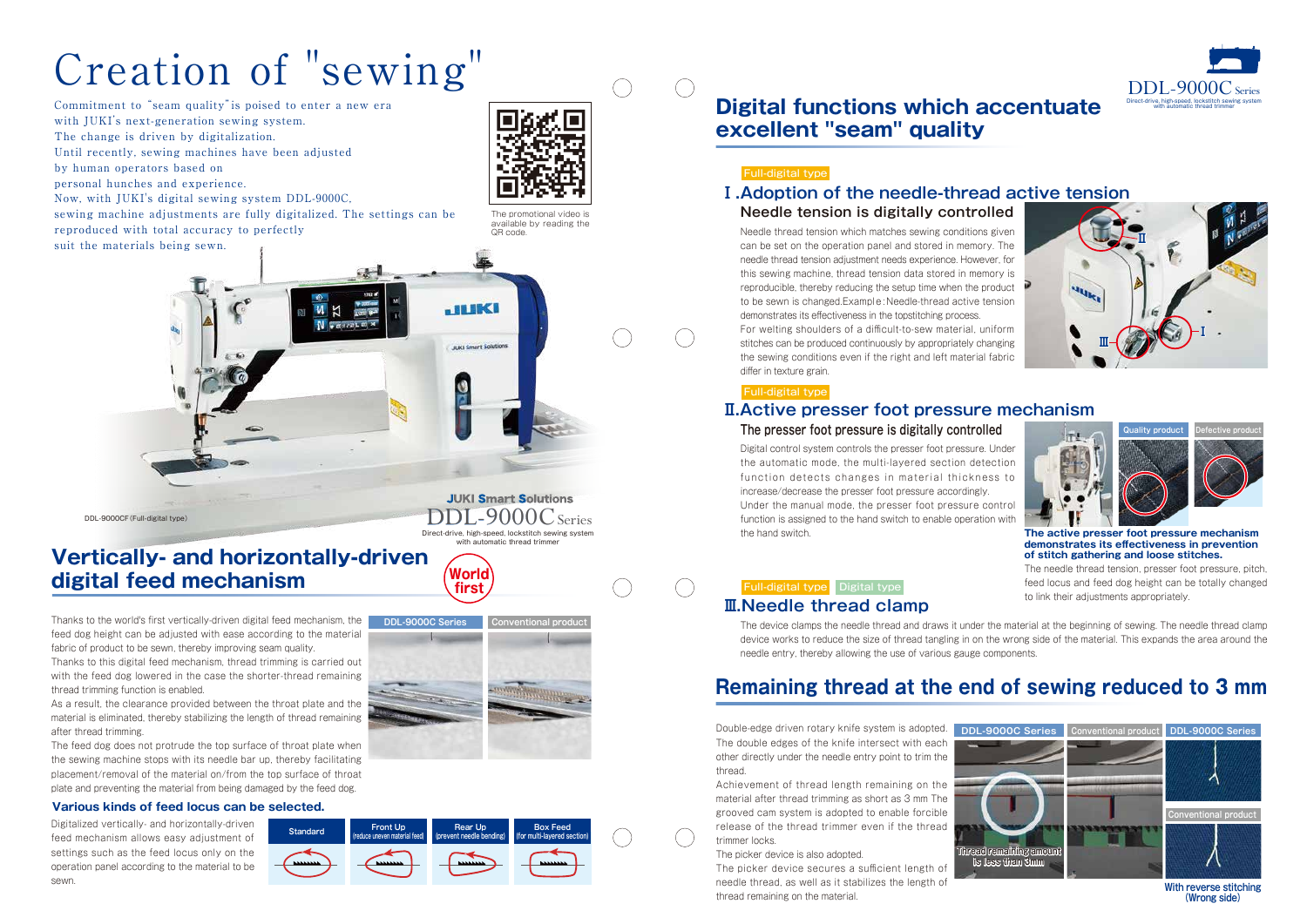# Creation of "sewing"

Commitment to "seam quality"is poised to enter a new era with JUKI's next-generation sewing system. The change is driven by digitalization. Until recently, sewing machines have been adjusted by human operators based on personal hunches and experience. Now, with JUKI's digital sewing system DDL-9000C, sewing machine adjustments are fully digitalized. The settings can be reproduced with total accuracy to perfectly

suit the materials being sewn.





# **Remaining thread at the end of sewing reduced to 3 mm**

Digitalized vertically- and horizontally-driven feed mechanism allows easy adjustment of settings such as the feed locus only on the operation panel according to the material to be sewn.

Double-edge driven rotary knife system is adopted. The double edges of the knife intersect with each other directly under the needle entry point to trim the thread.

Achievement of thread length remaining on the material after thread trimming as short as 3 mm The grooved cam system is adopted to enable forcible release of the thread trimmer even if the thread trimmer locks.

The picker device is also adopted.

**JUKI Smart Solutions** DDL-9000CSeries Direct-drive, high-speed, lockstitch sewing system with automatic thread trimmer

> The picker device secures a sufficient length of needle thread, as well as it stabilizes the length of thread remaining on the material.

Thanks to the world's first vertically-driven digital feed mechanism, the feed dog height can be adjusted with ease according to the material fabric of product to be sewn, thereby improving seam quality.

Thanks to this digital feed mechanism, thread trimming is carried out with the feed dog lowered in the case the shorter-thread remaining thread trimming function is enabled.

As a result, the clearance provided between the throat plate and the material is eliminated, thereby stabilizing the length of thread remaining after thread trimming.

The feed dog does not protrude the top surface of throat plate when the sewing machine stops with its needle bar up, thereby facilitating placement/removal of the material on/from the top surface of throat plate and preventing the material from being damaged by the feed dog.

# **Vertically- and horizontally-driven digital feed mechanism World**

#### **Various kinds of feed locus can be selected.**



Needle thread tension which matches sewing conditions given can be set on the operation panel and stored in memory. The needle thread tension adjustment needs experience. However, for this sewing machine, thread tension data stored in memory is reproducible, thereby reducing the setup time when the product to be sewn is changed.Example: Needle-thread active tension demonstrates its effectiveness in the topstitching process. For welting shoulders of a difficult-to-sew material, uniform stitches can be produced continuously by appropriately changing the sewing conditions even if the right and left material fabric differ in texture grain.

Digital control system controls the presser foot pressure. Under the automatic mode, the multi-layered section detection function detects changes in material thickness to increase/decrease the presser foot pressure accordingly. Under the manual mode, the presser foot pressure control function is assigned to the hand switch to enable operation with the hand switch.

#### Full-digital type Digital type

# **Needle tension is digitally controlled**  Full-digital type



### **The presser foot pressure is digitally controlled**

**With reverse stitching (Wrong side)**

# **Digital functions which accentuate**

**excellent "seam" quality**

## **Ⅰ.Adoption of the needle-thread active tension**

## **Ⅱ.Active presser foot pressure mechanism**

#### **Ⅲ.Needle thread clamp**

**The active presser foot pressure mechanism demonstrates its effectiveness in prevention of stitch gathering and loose stitches.**

The needle thread tension, presser foot pressure, pitch, feed locus and feed dog height can be totally changed to link their adjustments appropriately.

The device clamps the needle thread and draws it under the material at the beginning of sewing. The needle thread clamp device works to reduce the size of thread tangling in on the wrong side of the material. This expands the area around the needle entry, thereby allowing the use of various gauge components.

**first**

**JUKI** 

**JUKI Smart Solutions** 

**Standard Front Up**

**(reduce uneven material feed)**

**Rear Up (prevent needle bending)**

**Box Feed (for multi-layered section)**





#### Full-digital type





The promotional video is available by reading the QR code.

DDL-9000CF(Full-digital type)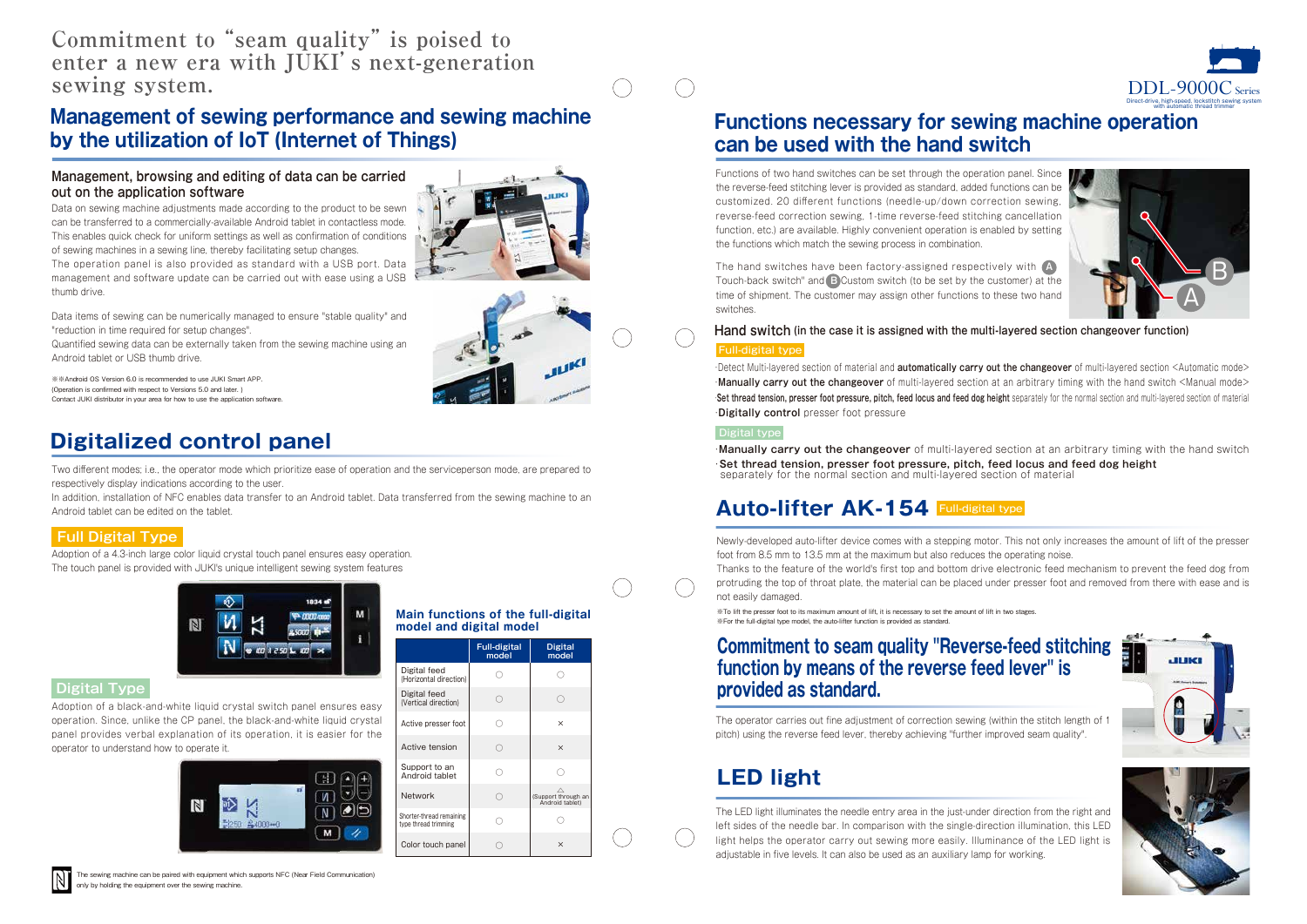Newly-developed auto-lifter device comes with a stepping motor. This not only increases the amount of lift of the presser foot from 8.5 mm to 13.5 mm at the maximum but also reduces the operating noise. Thanks to the feature of the world's first top and bottom drive electronic feed mechanism to prevent the feed dog from protruding the top of throat plate, the material can be placed under presser foot and removed from there with ease and is not easily damaged.

The operator carries out fine adjustment of correction sewing (within the stitch length of 1 pitch) using the reverse feed lever, thereby achieving "further improved seam quality".

## **Commitment to seam quality "Reverse-feed stitching function by means of the reverse feed lever" is provided as standard.**

The LED light illuminates the needle entry area in the just-under direction from the right and left sides of the needle bar. In comparison with the single-direction illumination, this LED light helps the operator carry out sewing more easily. Illuminance of the LED light is adjustable in five levels. It can also be used as an auxiliary lamp for working.

# **LED light**

※To lift the presser foot to its maximum amount of lift, it is necessary to set the amount of lift in two stages. ※For the full-digital type model, the auto-lifter function is provided as standard.

※※Android OS Version 6.0 is recommended to use JUKI Smart APP. (Operation is confirmed with respect to Versions 5.0 and later. ) Contact JUKI distributor in your area for how to use the application software. Functions of two hand switches can be set through the operation panel. Since the reverse-feed stitching lever is provided as standard, added functions can be customized. 20 different functions (needle-up/down correction sewing, reverse-feed correction sewing, 1-time reverse-feed stitching cancellation function, etc.) are available. Highly convenient operation is enabled by setting the functions which match the sewing process in combination.

The hand switches have been factory-assigned respectively with **A** Touch-back switch" and **B** Custom switch (to be set by the customer) at the time of shipment. The customer may assign other functions to these two hand switches.

Two different modes; i.e., the operator mode which prioritize ease of operation and the serviceperson mode, are prepared to respectively display indications according to the user.

Adoption of a 4.3-inch large color liquid crystal touch panel ensures easy operation. The touch panel is provided with JUKI's unique intelligent sewing system features



#### **Full Digital Type**

Adoption of a black-and-white liquid crystal switch panel ensures easy operation. Since, unlike the CP panel, the black-and-white liquid crystal panel provides verbal explanation of its operation, it is easier for the operator to understand how to operate it.



#### **Digital Type**

#### **Main functions of the full-digital model and digital model**

# **Functions necessary for sewing machine operation can be used with the hand switch**

# **Management of sewing performance and sewing machine by the utilization of IoT (Internet of Things)**

Data on sewing machine adjustments made according to the product to be sewn can be transferred to a commercially-available Android tablet in contactless mode. This enables quick check for uniform settings as well as confirmation of conditions of sewing machines in a sewing line, thereby facilitating setup changes.

The operation panel is also provided as standard with a USB port. Data management and software update can be carried out with ease using a USB thumb drive.



Data items of sewing can be numerically managed to ensure "stable quality" and "reduction in time required for setup changes".

Quantified sewing data can be externally taken from the sewing machine using an Android tablet or USB thumb drive.

#### **Management, browsing and editing of data can be carried out on the application software**

|                                                  | <b>Full-digital</b><br>model | <b>Digital</b><br>model                |
|--------------------------------------------------|------------------------------|----------------------------------------|
| Digital feed<br>(Horizontal direction)           |                              |                                        |
| Digital feed<br>(Vertical direction)             | ∩                            | 0                                      |
| Active presser foot                              | ∩                            | $\times$                               |
| Active tension                                   | ∩                            | $\times$                               |
| Support to an<br>Android tablet                  | ∩                            |                                        |
| <b>Network</b>                                   | ∩                            | (Support through an<br>Android tablet) |
| Shorter-thread remaining<br>type thread trimming | ņ,                           |                                        |
| Color touch panel                                |                              | $\times$                               |

# **Digitalized control panel**

In addition, installation of NFC enables data transfer to an Android tablet. Data transferred from the sewing machine to an Android tablet can be edited on the tablet.

・**Manually carry out the changeover** of multi-layered section at an arbitrary timing with the hand switch ・**Set thread tension, presser foot pressure, pitch, feed locus and feed dog height**  separately for the normal section and multi-layered section of material

# **Auto-lifter AK-154 Full-digital type**

#### **Hand switch (in the case it is assigned with the multi-layered section changeover function)** Full-digital type

・Detect Multi-layered section of material and **automatically carry out the changeover** of multi-layered section <Automatic mode> ・**Manually carry out the changeover** of multi-layered section at an arbitrary timing with the hand switch <Manual mode> ・**Set thread tension, presser foot pressure, pitch, feed locus and feed dog height** separately for the normal section and multi-layered section of material ・**Digitally control** presser foot pressure

#### Digital type







# **Commitment to "seam quality" is poised to enter a new era with JUKI's next-generation sewing system.**